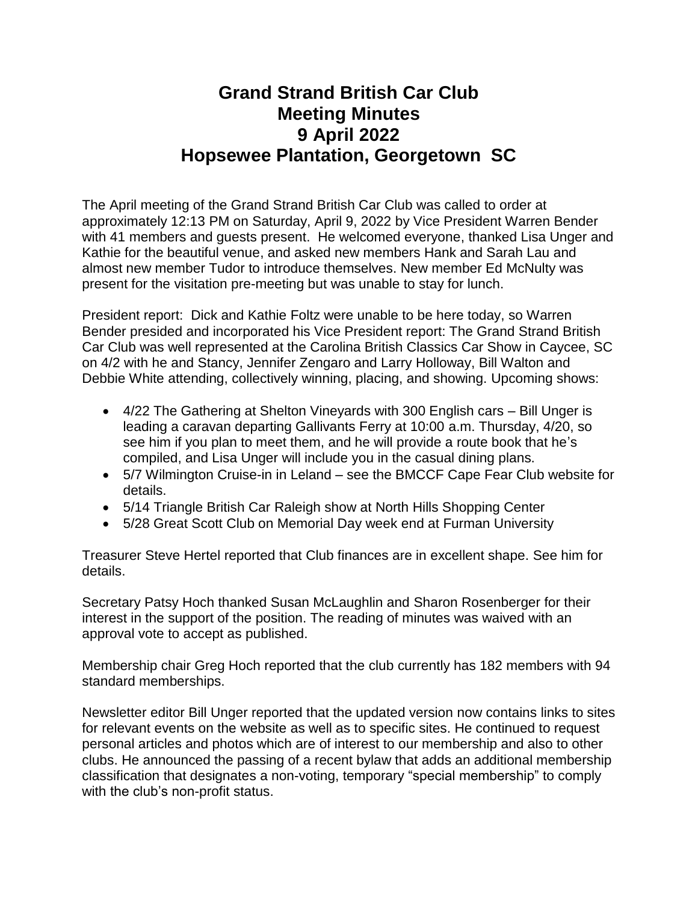## **Grand Strand British Car Club Meeting Minutes 9 April 2022 Hopsewee Plantation, Georgetown SC**

The April meeting of the Grand Strand British Car Club was called to order at approximately 12:13 PM on Saturday, April 9, 2022 by Vice President Warren Bender with 41 members and guests present. He welcomed everyone, thanked Lisa Unger and Kathie for the beautiful venue, and asked new members Hank and Sarah Lau and almost new member Tudor to introduce themselves. New member Ed McNulty was present for the visitation pre-meeting but was unable to stay for lunch.

President report: Dick and Kathie Foltz were unable to be here today, so Warren Bender presided and incorporated his Vice President report: The Grand Strand British Car Club was well represented at the Carolina British Classics Car Show in Caycee, SC on 4/2 with he and Stancy, Jennifer Zengaro and Larry Holloway, Bill Walton and Debbie White attending, collectively winning, placing, and showing. Upcoming shows:

- 4/22 The Gathering at Shelton Vineyards with 300 English cars Bill Unger is leading a caravan departing Gallivants Ferry at 10:00 a.m. Thursday, 4/20, so see him if you plan to meet them, and he will provide a route book that he's compiled, and Lisa Unger will include you in the casual dining plans.
- 5/7 Wilmington Cruise-in in Leland see the BMCCF Cape Fear Club website for details.
- 5/14 Triangle British Car Raleigh show at North Hills Shopping Center
- 5/28 Great Scott Club on Memorial Day week end at Furman University

Treasurer Steve Hertel reported that Club finances are in excellent shape. See him for details.

Secretary Patsy Hoch thanked Susan McLaughlin and Sharon Rosenberger for their interest in the support of the position. The reading of minutes was waived with an approval vote to accept as published.

Membership chair Greg Hoch reported that the club currently has 182 members with 94 standard memberships.

Newsletter editor Bill Unger reported that the updated version now contains links to sites for relevant events on the website as well as to specific sites. He continued to request personal articles and photos which are of interest to our membership and also to other clubs. He announced the passing of a recent bylaw that adds an additional membership classification that designates a non-voting, temporary "special membership" to comply with the club's non-profit status.